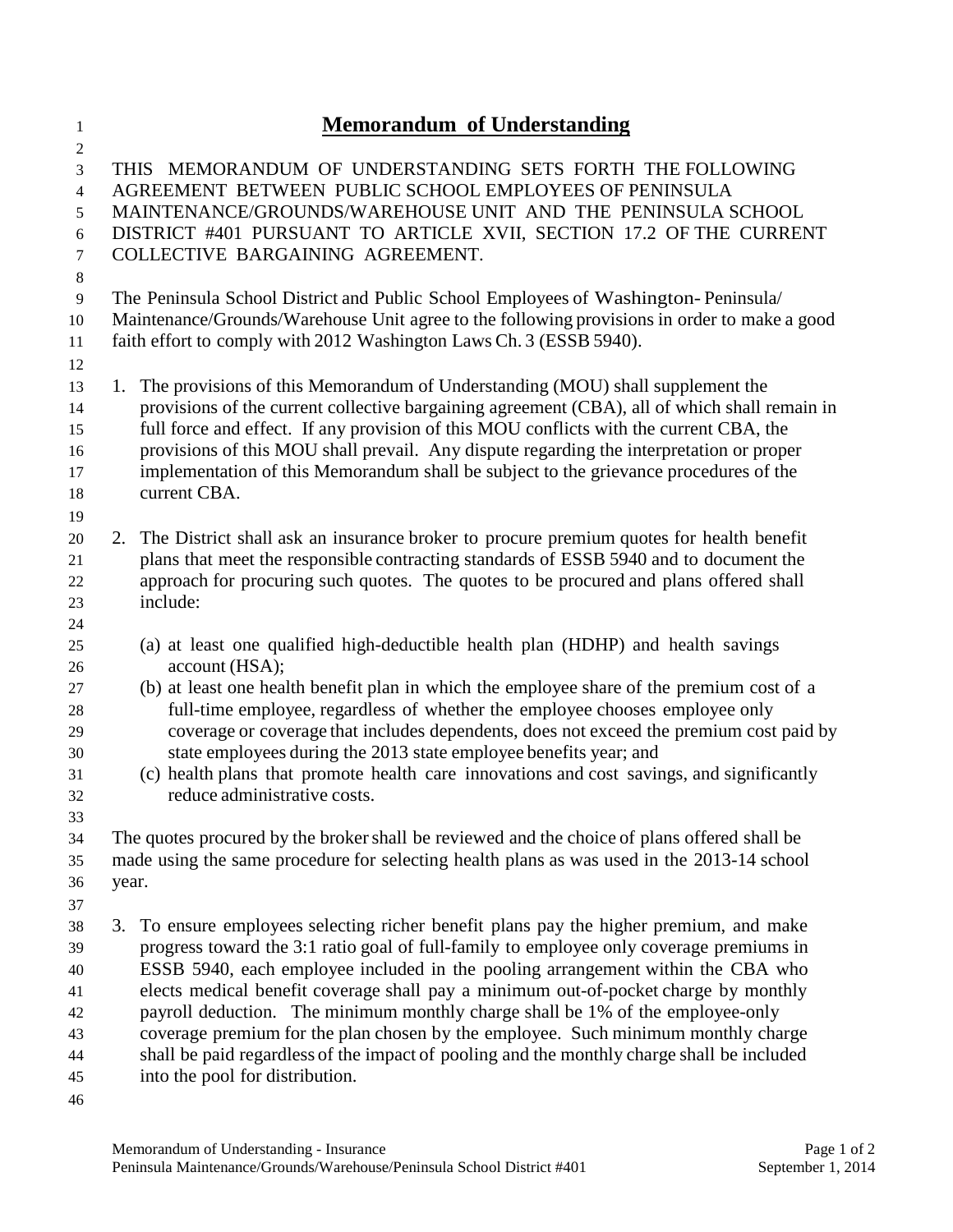## **Memorandum of Understanding**

 THIS MEMORANDUM OF UNDERSTANDING SETS FORTH THE FOLLOWING AGREEMENT BETWEEN PUBLIC SCHOOL EMPLOYEES OF PENINSULA MAINTENANCE/GROUNDS/WAREHOUSE UNIT AND THE PENINSULA SCHOOL DISTRICT #401 PURSUANT TO ARTICLE XVII, SECTION 17.2 OF THE CURRENT COLLECTIVE BARGAINING AGREEMENT. The Peninsula School District and Public School Employees of Washington- Peninsula/ Maintenance/Grounds/Warehouse Unit agree to the following provisions in order to make a good faith effort to comply with 2012 Washington Laws Ch. 3 (ESSB 5940). 1. The provisions of this Memorandum of Understanding (MOU) shall supplement the provisions of the current collective bargaining agreement (CBA), all of which shall remain in full force and effect. If any provision of this MOU conflicts with the current CBA, the provisions of this MOU shall prevail. Any dispute regarding the interpretation or proper implementation of this Memorandum shall be subject to the grievance procedures of the current CBA. 2. The District shall ask an insurance broker to procure premium quotes for health benefit plans that meet the responsible contracting standards of ESSB 5940 and to document the approach for procuring such quotes. The quotes to be procured and plans offered shall include: (a) at least one qualified high-deductible health plan (HDHP) and health savings account (HSA); (b) at least one health benefit plan in which the employee share of the premium cost of a full-time employee, regardless of whether the employee chooses employee only coverage or coverage that includes dependents, does not exceed the premium cost paid by state employees during the 2013 state employee benefits year; and (c) health plans that promote health care innovations and cost savings, and significantly reduce administrative costs. The quotes procured by the brokershall be reviewed and the choice of plans offered shall be made using the same procedure for selecting health plans as was used in the 2013-14 school year. 3. To ensure employees selecting richer benefit plans pay the higher premium, and make progress toward the 3:1 ratio goal of full-family to employee only coverage premiums in ESSB 5940, each employee included in the pooling arrangement within the CBA who elects medical benefit coverage shall pay a minimum out-of-pocket charge by monthly payroll deduction. The minimum monthly charge shall be 1% of the employee-only coverage premium for the plan chosen by the employee. Such minimum monthly charge shall be paid regardless of the impact of pooling and the monthly charge shall be included into the pool for distribution.